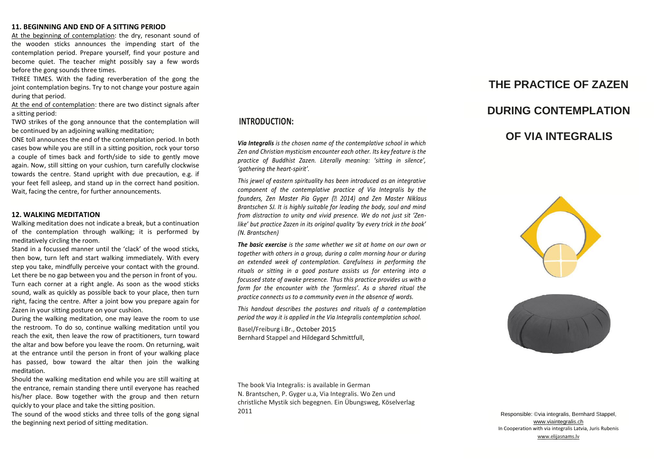### **11. BEGINNING AND END OF A SITTING PERIOD**

At the beginning of contemplation: the dry, resonant sound of the wooden sticks announces the impending start of the contemplation period. Prepare yourself, find your posture and become quiet. The teacher might possibly say a few words before the gong sounds three times.

THREE TIMES. With the fading reverberation of the gong the joint contemplation begins. Try to not change your posture again during that period.

At the end of contemplation: there are two distinct signals after a sitting period:

TWO strikes of the gong announce that the contemplation will be continued by an adjoining walking meditation;

ONE toll announces the end of the contemplation period. In both cases bow while you are still in a sitting position, rock your torso a couple of times back and forth/side to side to gently move again. Now, still sitting on your cushion, turn carefully clockwise towards the centre. Stand upright with due precaution, e.g. if your feet fell asleep, and stand up in the correct hand position. Wait, facing the centre, for further announcements.

#### **12. WALKING MEDITATION**

Walking meditation does not indicate a break, but a continuation of the contemplation through walking; it is performed by meditatively circling the room.

Stand in a focussed manner until the 'clack' of the wood sticks, then bow, turn left and start walking immediately. With every step you take, mindfully perceive your contact with the ground. Let there be no gap between you and the person in front of you. Turn each corner at a right angle. As soon as the wood sticks sound, walk as quickly as possible back to your place, then turn right, facing the centre. After a joint bow you prepare again for Zazen in your sitting posture on your cushion.

During the walking meditation, one may leave the room to use the restroom. To do so, continue walking meditation until you reach the exit, then leave the row of practitioners, turn toward the altar and bow before you leave the room. On returning, wait at the entrance until the person in front of your walking place has passed, bow toward the altar then join the walking meditation.

Should the walking meditation end while you are still waiting at the entrance, remain standing there until everyone has reached his/her place. Bow together with the group and then return quickly to your place and take the sitting position.

The sound of the wood sticks and three tolls of the gong signal the beginning next period of sitting meditation.

## **INTRODUCTION:**

*Via Integralis is the chosen name of the contemplative school in which Zen and Christian mysticism encounter each other. Its key feature is the practice of Buddhist Zazen. Literally meaning: 'sitting in silence', 'gathering the heart-spirit'.*

*This jewel of eastern spirituality has been introduced as an integrative component of the contemplative practice of Via Integralis by the*  founders, Zen Master Pia Gyger (2014) and Zen Master Niklaus *Brantschen SJ. It is highly suitable for leading the body, soul and mind from distraction to unity and vivid presence. We do not just sit 'Zenlike' but practice Zazen in its original quality 'by every trick in the book' (N. Brantschen)*

*The basic exercise is the same whether we sit at home on our own or together with others in a group, during a calm morning hour or during an extended week of contemplation. Carefulness in performing the rituals or sitting in a good posture assists us for entering into a focussed state of awake presence. Thus this practice provides us with a form for the encounter with the 'formless'. As a shared ritual the practice connects us to a community even in the absence of words.*

*This handout describes the postures and rituals of a contemplation period the way it is applied in the Via Integralis contemplation school.*

Basel/Freiburg i.Br., October 2015 Bernhard Stappel and Hildegard Schmittfull,

**THE PRACTICE OF ZAZEN DURING CONTEMPLATION**

# **OF VIA INTEGRALIS**





The book Via Integralis: is available in German N. Brantschen, P. Gyger u.a, Via Integralis. Wo Zen und christliche Mystik sich begegnen. Ein Übungsweg, Köselverlag 2011

Responsible: ©via integralis, Bernhard Stappel, [www.viaintegralis.ch](http://www.viaintegralis.ch/) In Cooperation with via integralis Latvia, Juris Rubenis [www.elijasnams.lv](http://www.elijasnams.lv/)